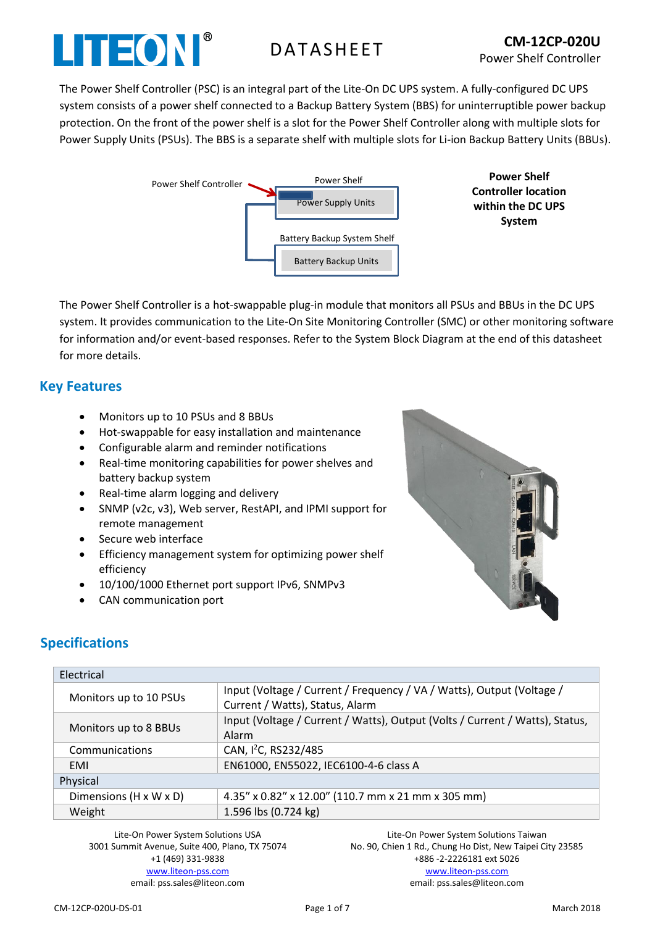

The Power Shelf Controller (PSC) is an integral part of the Lite-On DC UPS system. A fully-configured DC UPS system consists of a power shelf connected to a Backup Battery System (BBS) for uninterruptible power backup protection. On the front of the power shelf is a slot for the Power Shelf Controller along with multiple slots for Power Supply Units (PSUs). The BBS is a separate shelf with multiple slots for Li-ion Backup Battery Units (BBUs).



**Controller location within the DC UPS System**

The Power Shelf Controller is a hot-swappable plug-in module that monitors all PSUs and BBUs in the DC UPS system. It provides communication to the Lite-On Site Monitoring Controller (SMC) or other monitoring software for information and/or event-based responses. Refer to the System Block Diagram at the end of this datasheet for more details.

## **Key Features**

- Monitors up to 10 PSUs and 8 BBUs
- Hot-swappable for easy installation and maintenance
- Configurable alarm and reminder notifications
- Real-time monitoring capabilities for power shelves and battery backup system
- Real-time alarm logging and delivery
- SNMP (v2c, v3), Web server, RestAPI, and IPMI support for remote management
- Secure web interface
- Efficiency management system for optimizing power shelf efficiency
- 10/100/1000 Ethernet port support IPv6, SNMPv3
- CAN communication port



# **Specifications**

| Electrical             |                                                                                                          |
|------------------------|----------------------------------------------------------------------------------------------------------|
| Monitors up to 10 PSUs | Input (Voltage / Current / Frequency / VA / Watts), Output (Voltage /<br>Current / Watts), Status, Alarm |
| Monitors up to 8 BBUs  | Input (Voltage / Current / Watts), Output (Volts / Current / Watts), Status,<br>Alarm                    |
| Communications         | CAN, I <sup>2</sup> C, RS232/485                                                                         |
| EMI                    | EN61000, EN55022, IEC6100-4-6 class A                                                                    |
| Physical               |                                                                                                          |
| Dimensions (H x W x D) | 4.35" x 0.82" x 12.00" (110.7 mm x 21 mm x 305 mm)                                                       |
| Weight                 | 1.596 lbs (0.724 kg)                                                                                     |

Lite-On Power System Solutions USA 3001 Summit Avenue, Suite 400, Plano, TX 75074 +1 (469) 331-9838 [www.liteon-pss.com](http://www.liteon-pss.com/) email: pss.sales@liteon.com

Lite-On Power System Solutions Taiwan No. 90, Chien 1 Rd., Chung Ho Dist, New Taipei City 23585 +886 -2-2226181 ext 5026 [www.liteon-pss.com](http://www.liteon-pss.com/) email: pss.sales@liteon.com

CM-12CP-020U-DS-01 Page 1 of 7 March 2018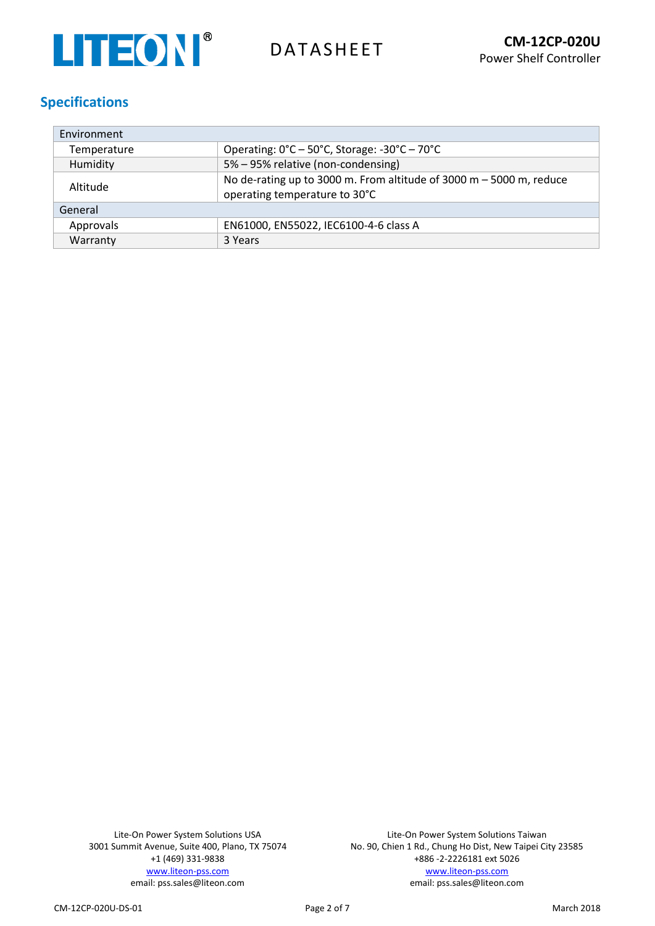

# **Specifications**

| Environment |                                                                                                        |  |  |  |
|-------------|--------------------------------------------------------------------------------------------------------|--|--|--|
| Temperature | Operating: 0°C - 50°C, Storage: -30°C - 70°C                                                           |  |  |  |
| Humidity    | 5% - 95% relative (non-condensing)                                                                     |  |  |  |
| Altitude    | No de-rating up to 3000 m. From altitude of 3000 m $-$ 5000 m, reduce<br>operating temperature to 30°C |  |  |  |
| General     |                                                                                                        |  |  |  |
| Approvals   | EN61000, EN55022, IEC6100-4-6 class A                                                                  |  |  |  |
| Warranty    | 3 Years                                                                                                |  |  |  |

Lite-On Power System Solutions USA 3001 Summit Avenue, Suite 400, Plano, TX 75074 +1 (469) 331-9838 [www.liteon-pss.com](http://www.liteon-pss.com/) email: pss.sales@liteon.com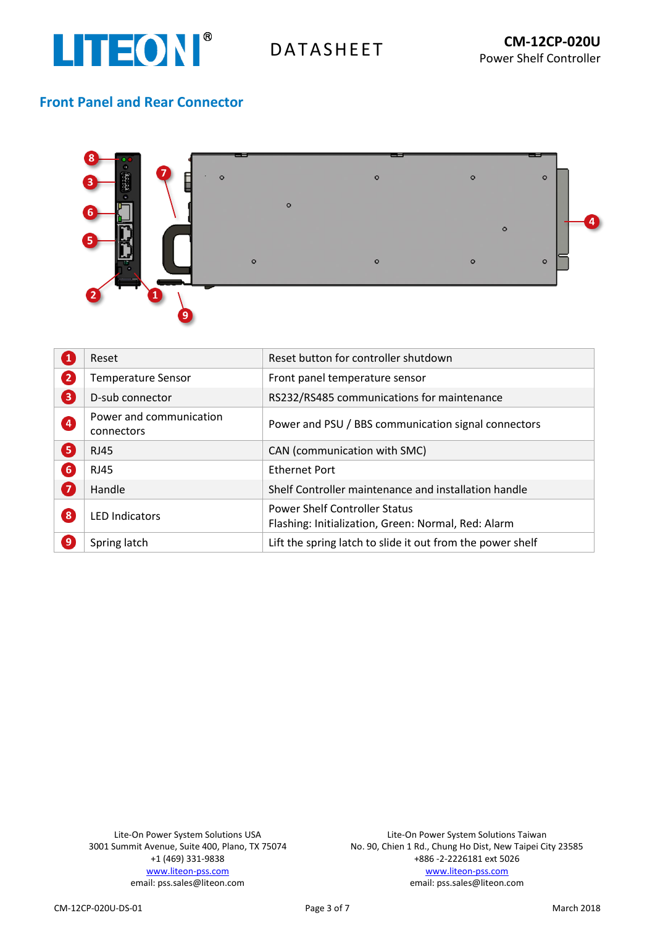

# **Front Panel and Rear Connector**



| $\boxed{1}$ | Reset                                 | Reset button for controller shutdown                                                        |
|-------------|---------------------------------------|---------------------------------------------------------------------------------------------|
| 2           | <b>Temperature Sensor</b>             | Front panel temperature sensor                                                              |
| 8           | D-sub connector                       | RS232/RS485 communications for maintenance                                                  |
| 4           | Power and communication<br>connectors | Power and PSU / BBS communication signal connectors                                         |
| 6           | <b>RJ45</b>                           | CAN (communication with SMC)                                                                |
| 6           | <b>RJ45</b>                           | <b>Ethernet Port</b>                                                                        |
| 7           | Handle                                | Shelf Controller maintenance and installation handle                                        |
| 8           | <b>LED Indicators</b>                 | <b>Power Shelf Controller Status</b><br>Flashing: Initialization, Green: Normal, Red: Alarm |
| 0           | Spring latch                          | Lift the spring latch to slide it out from the power shelf                                  |

Lite-On Power System Solutions USA 3001 Summit Avenue, Suite 400, Plano, TX 75074 +1 (469) 331-9838 [www.liteon-pss.com](http://www.liteon-pss.com/) email: pss.sales@liteon.com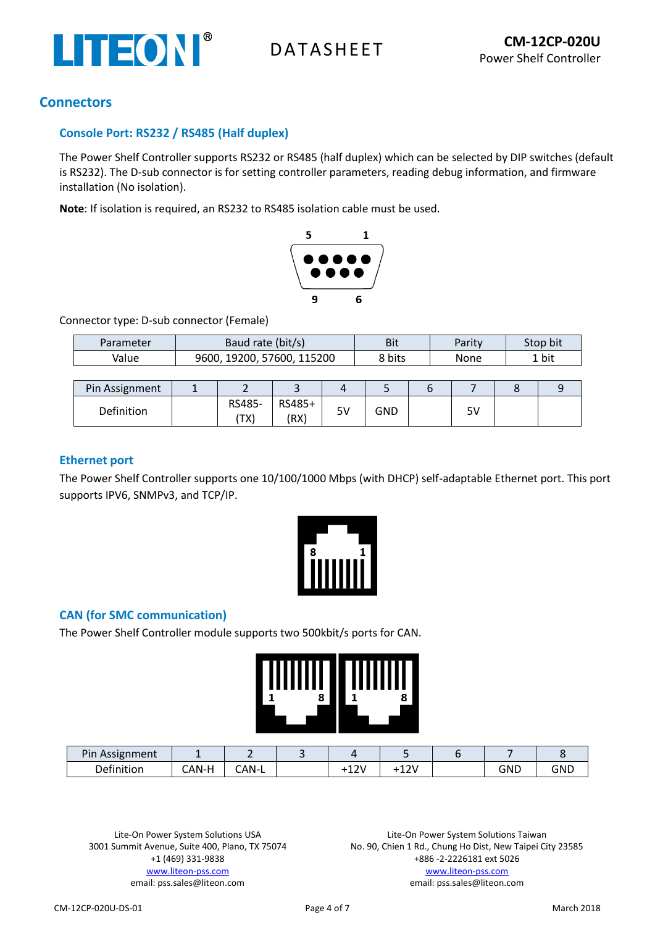

## **Connectors**

## **Console Port: RS232 / RS485 (Half duplex)**

The Power Shelf Controller supports RS232 or RS485 (half duplex) which can be selected by DIP switches (default is RS232). The D-sub connector is for setting controller parameters, reading debug information, and firmware installation (No isolation).

**Note**: If isolation is required, an RS232 to RS485 isolation cable must be used.



Connector type: D-sub connector (Female)

| Parameter | Baud rate (bit/s)          | Bit    | Parity | Stop bit |
|-----------|----------------------------|--------|--------|----------|
| Value     | 9600, 19200, 57600, 115200 | 8 bits | None   | 1 bit    |

| Pin Assignment |                                     | $\sim$         | Д  |     |          |  |
|----------------|-------------------------------------|----------------|----|-----|----------|--|
| Definition     | RS485-<br>י ∕י יד<br>$\overline{1}$ | RS485+<br>(RX) | 5٧ | GND | r١<br>っぃ |  |

### **Ethernet port**

The Power Shelf Controller supports one 10/100/1000 Mbps (with DHCP) self-adaptable Ethernet port. This port supports IPV6, SNMPv3, and TCP/IP.



## **CAN (for SMC communication)**

The Power Shelf Controller module supports two 500kbit/s ports for CAN.

| 1111111 <b>T</b> I | 8 | IIIIIII | I |
|--------------------|---|---------|---|
| 1                  |   | H       | 8 |
|                    |   |         |   |

| Pin<br><b>Assignment</b> |                             |            |          |              |     |            |
|--------------------------|-----------------------------|------------|----------|--------------|-----|------------|
| Definition               | $\cap$ AN-H<br>$\mathbf{v}$ | `AN-.<br>- | 2V<br>∸∸ | -121<br>-- - | GND | <b>GND</b> |

Lite-On Power System Solutions USA 3001 Summit Avenue, Suite 400, Plano, TX 75074 +1 (469) 331-9838 [www.liteon-pss.com](http://www.liteon-pss.com/) email: pss.sales@liteon.com

Lite-On Power System Solutions Taiwan No. 90, Chien 1 Rd., Chung Ho Dist, New Taipei City 23585 +886 -2-2226181 ext 5026 [www.liteon-pss.com](http://www.liteon-pss.com/) email: pss.sales@liteon.com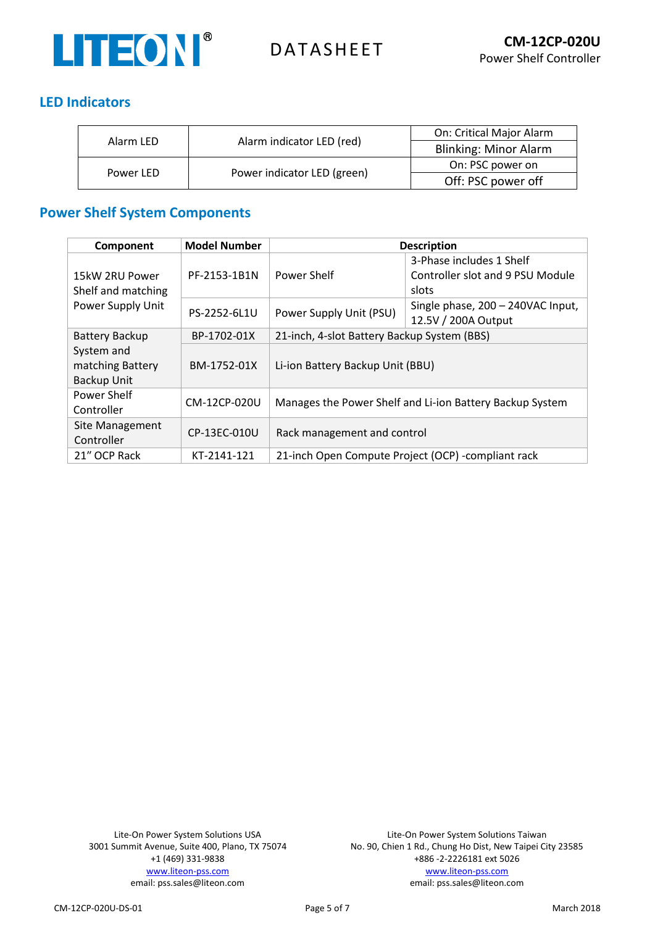

# **LED Indicators**

| Alarm LED |                             | On: Critical Major Alarm     |
|-----------|-----------------------------|------------------------------|
|           | Alarm indicator LED (red)   | <b>Blinking: Minor Alarm</b> |
| Power LED |                             | On: PSC power on             |
|           | Power indicator LED (green) | Off: PSC power off           |

# **Power Shelf System Components**

| Component             | <b>Model Number</b> | <b>Description</b>                                       |                                   |  |
|-----------------------|---------------------|----------------------------------------------------------|-----------------------------------|--|
|                       |                     |                                                          | 3-Phase includes 1 Shelf          |  |
| 15kW 2RU Power        | PF-2153-1B1N        | Power Shelf                                              | Controller slot and 9 PSU Module  |  |
| Shelf and matching    |                     |                                                          | slots                             |  |
| Power Supply Unit     | PS-2252-6L1U        | Power Supply Unit (PSU)                                  | Single phase, 200 - 240VAC Input, |  |
|                       |                     |                                                          | 12.5V / 200A Output               |  |
| <b>Battery Backup</b> | BP-1702-01X         | 21-inch, 4-slot Battery Backup System (BBS)              |                                   |  |
| System and            |                     |                                                          |                                   |  |
| matching Battery      | BM-1752-01X         | Li-ion Battery Backup Unit (BBU)                         |                                   |  |
| <b>Backup Unit</b>    |                     |                                                          |                                   |  |
| Power Shelf           | CM-12CP-020U        |                                                          |                                   |  |
| Controller            |                     | Manages the Power Shelf and Li-ion Battery Backup System |                                   |  |
| Site Management       | CP-13EC-010U        | Rack management and control                              |                                   |  |
| Controller            |                     |                                                          |                                   |  |
| 21" OCP Rack          | KT-2141-121         | 21-inch Open Compute Project (OCP) -compliant rack       |                                   |  |

Lite-On Power System Solutions USA 3001 Summit Avenue, Suite 400, Plano, TX 75074 +1 (469) 331-9838 [www.liteon-pss.com](http://www.liteon-pss.com/) email: pss.sales@liteon.com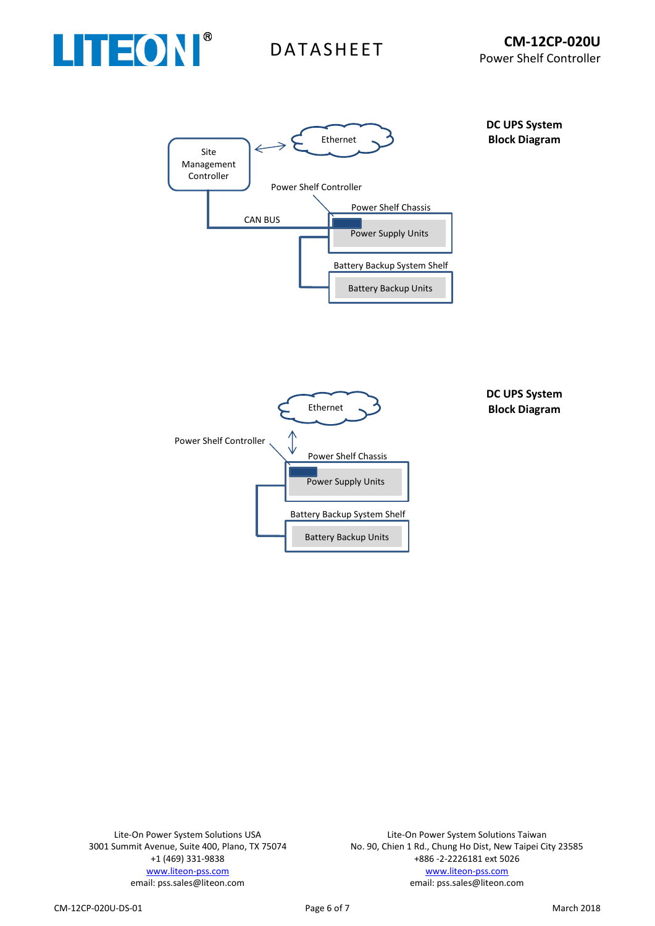





**DC UPS System Block Diagram**

Lite-On Power System Solutions USA 3001 Summit Avenue, Suite 400, Plano, TX 75074 +1 (469) 331-9838 [www.liteon-pss.com](http://www.liteon-pss.com/) email: pss.sales@liteon.com

Lite-On Power System Solutions Taiwan No. 90, Chien 1 Rd., Chung Ho Dist, New Taipei City 23585 +886 -2-2226181 ext 5026 [www.liteon-pss.com](http://www.liteon-pss.com/) email: pss.sales@liteon.com